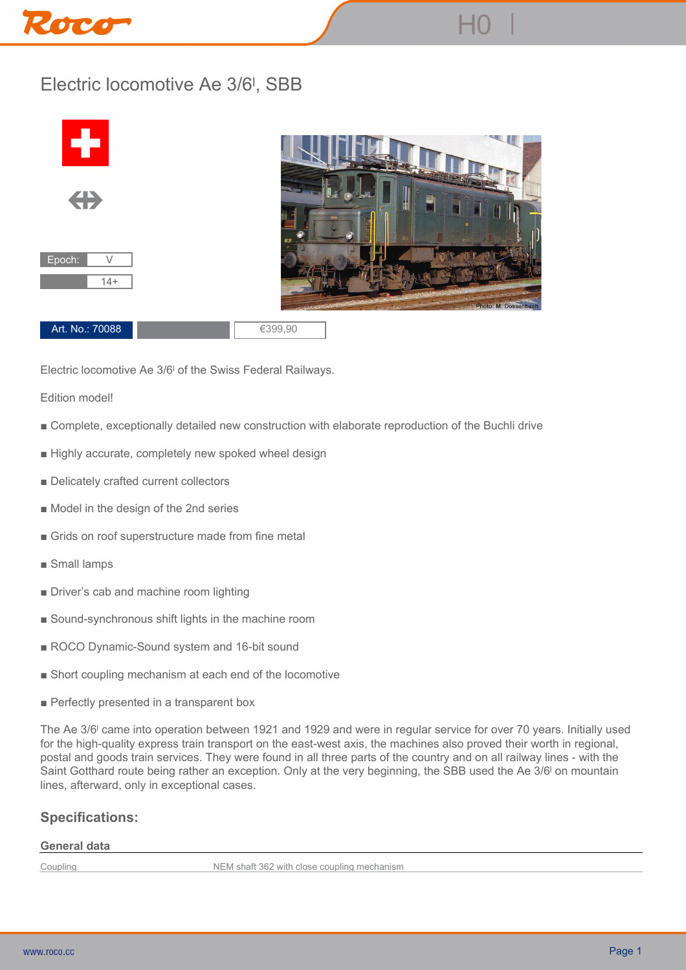# Roco

## **Electric locomotive Ae 3/6ˡ, SBB**



**Electric locomotive Ae 3/6ˡ of the Swiss Federal Railways.**

**Edition model!**

- **Complete, exceptionally detailed new construction with elaborate reproduction of the Buchli drive**
- **Highly accurate, completely new spoked wheel design**
- Delicately crafted current collectors
- **Model in the design of the 2nd series**
- **Grids on roof superstructure made from fine metal**
- **Small lamps**
- **Driver's cab and machine room lighting**
- **Sound-synchronous shift lights in the machine room**
- ROCO Dynamic-Sound system and 16-bit sound
- **Short coupling mechanism at each end of the locomotive**
- **Perfectly presented in a transparent box**

**The Ae 3/6ˡ came into operation between 1921 and 1929 and were in regular service for over 70 years. Initially used for the high-quality express train transport on the east-west axis, the machines also proved their worth in regional, postal and goods train services. They were found in all three parts of the country and on all railway lines - with the Saint Gotthard route being rather an exception. Only at the very beginning, the SBB used the Ae 3/6ˡ on mountain lines, afterward, only in exceptional cases.**

### **Specifications:**

#### **General data**

**Coupling NEM shaft 362 with close coupling mechanism**